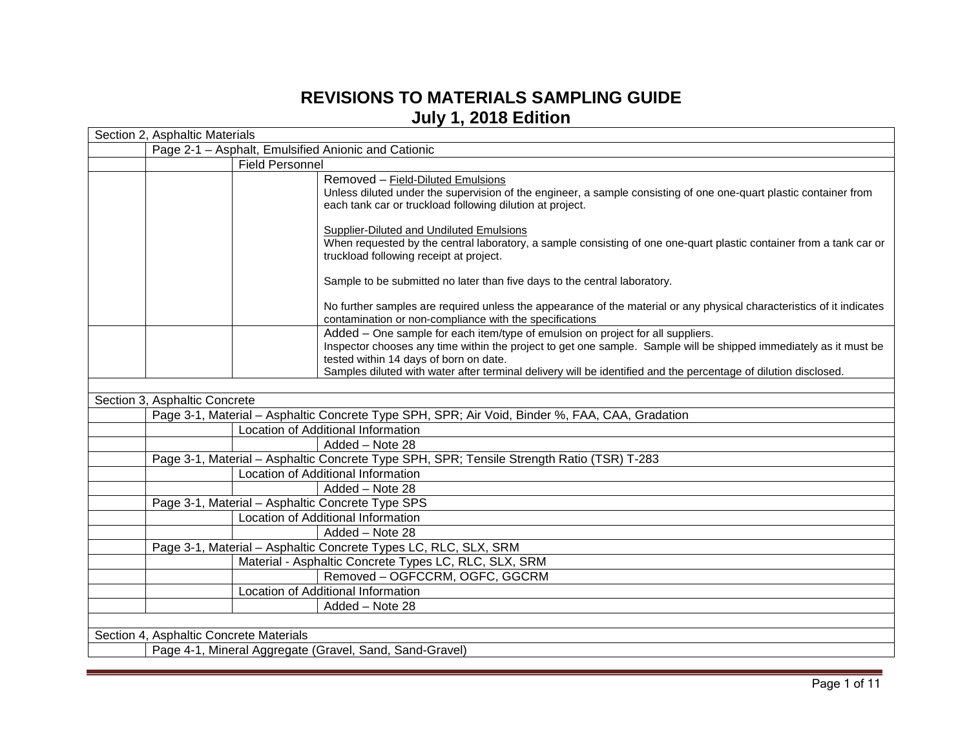## **REVISIONS TO MATERIALS SAMPLING GUIDE July 1, 2018 Edition**

| Section 2, Asphaltic Materials                      |                        |                                                                                                                                                                                                                                                                                                                                                                   |  |
|-----------------------------------------------------|------------------------|-------------------------------------------------------------------------------------------------------------------------------------------------------------------------------------------------------------------------------------------------------------------------------------------------------------------------------------------------------------------|--|
| Page 2-1 - Asphalt, Emulsified Anionic and Cationic |                        |                                                                                                                                                                                                                                                                                                                                                                   |  |
|                                                     | <b>Field Personnel</b> |                                                                                                                                                                                                                                                                                                                                                                   |  |
|                                                     |                        | Removed - Field-Diluted Emulsions<br>Unless diluted under the supervision of the engineer, a sample consisting of one one-quart plastic container from<br>each tank car or truckload following dilution at project.                                                                                                                                               |  |
|                                                     |                        | <b>Supplier-Diluted and Undiluted Emulsions</b><br>When requested by the central laboratory, a sample consisting of one one-quart plastic container from a tank car or<br>truckload following receipt at project.                                                                                                                                                 |  |
|                                                     |                        | Sample to be submitted no later than five days to the central laboratory.                                                                                                                                                                                                                                                                                         |  |
|                                                     |                        | No further samples are required unless the appearance of the material or any physical characteristics of it indicates<br>contamination or non-compliance with the specifications                                                                                                                                                                                  |  |
|                                                     |                        | Added - One sample for each item/type of emulsion on project for all suppliers.<br>Inspector chooses any time within the project to get one sample. Sample will be shipped immediately as it must be<br>tested within 14 days of born on date.<br>Samples diluted with water after terminal delivery will be identified and the percentage of dilution disclosed. |  |
|                                                     |                        |                                                                                                                                                                                                                                                                                                                                                                   |  |
| Section 3, Asphaltic Concrete                       |                        |                                                                                                                                                                                                                                                                                                                                                                   |  |
|                                                     |                        | Page 3-1, Material - Asphaltic Concrete Type SPH, SPR; Air Void, Binder %, FAA, CAA, Gradation                                                                                                                                                                                                                                                                    |  |
|                                                     |                        | Location of Additional Information                                                                                                                                                                                                                                                                                                                                |  |
|                                                     |                        | Added - Note 28                                                                                                                                                                                                                                                                                                                                                   |  |
|                                                     |                        | Page 3-1, Material - Asphaltic Concrete Type SPH, SPR; Tensile Strength Ratio (TSR) T-283                                                                                                                                                                                                                                                                         |  |
|                                                     |                        | Location of Additional Information                                                                                                                                                                                                                                                                                                                                |  |
|                                                     |                        | Added - Note 28                                                                                                                                                                                                                                                                                                                                                   |  |
|                                                     |                        | Page 3-1, Material - Asphaltic Concrete Type SPS                                                                                                                                                                                                                                                                                                                  |  |
|                                                     |                        | Location of Additional Information                                                                                                                                                                                                                                                                                                                                |  |
|                                                     |                        | Added - Note 28                                                                                                                                                                                                                                                                                                                                                   |  |
|                                                     |                        | Page 3-1, Material - Asphaltic Concrete Types LC, RLC, SLX, SRM                                                                                                                                                                                                                                                                                                   |  |
|                                                     |                        | Material - Asphaltic Concrete Types LC, RLC, SLX, SRM                                                                                                                                                                                                                                                                                                             |  |
|                                                     |                        | Removed - OGFCCRM, OGFC, GGCRM                                                                                                                                                                                                                                                                                                                                    |  |
|                                                     |                        | Location of Additional Information                                                                                                                                                                                                                                                                                                                                |  |
|                                                     |                        | Added - Note 28                                                                                                                                                                                                                                                                                                                                                   |  |
|                                                     |                        |                                                                                                                                                                                                                                                                                                                                                                   |  |
| Section 4, Asphaltic Concrete Materials             |                        |                                                                                                                                                                                                                                                                                                                                                                   |  |
|                                                     |                        | Page 4-1, Mineral Aggregate (Gravel, Sand, Sand-Gravel)                                                                                                                                                                                                                                                                                                           |  |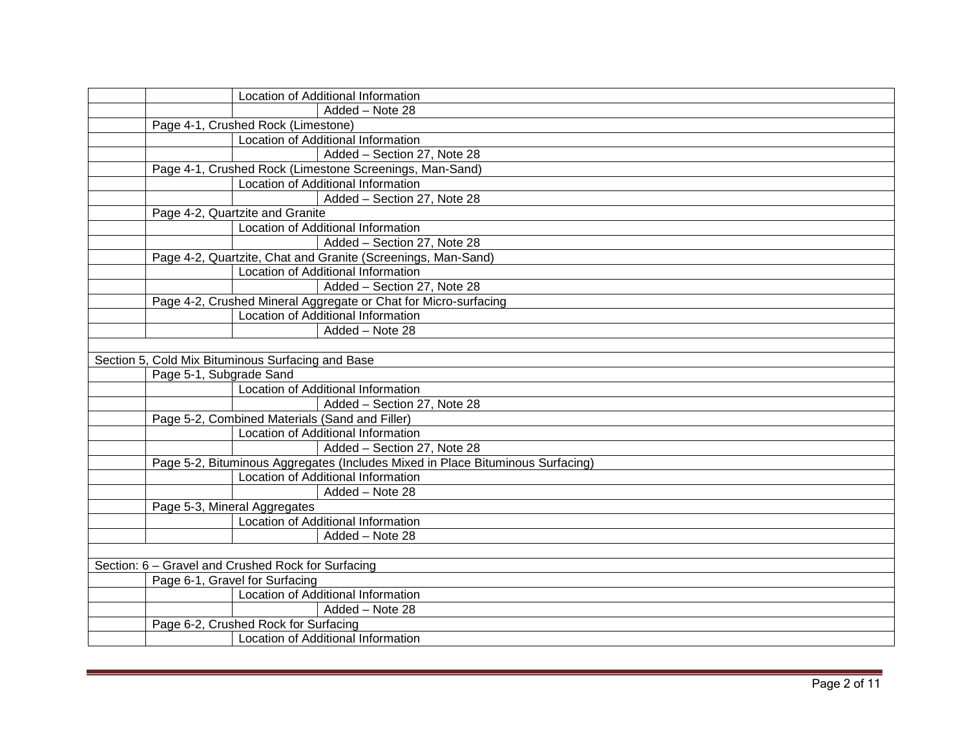|                                                    |                                      | Location of Additional Information                                             |  |
|----------------------------------------------------|--------------------------------------|--------------------------------------------------------------------------------|--|
|                                                    |                                      | Added - Note 28                                                                |  |
|                                                    | Page 4-1, Crushed Rock (Limestone)   |                                                                                |  |
|                                                    |                                      | Location of Additional Information                                             |  |
|                                                    |                                      | Added - Section 27, Note 28                                                    |  |
|                                                    |                                      | Page 4-1, Crushed Rock (Limestone Screenings, Man-Sand)                        |  |
|                                                    |                                      | Location of Additional Information                                             |  |
|                                                    |                                      | Added - Section 27, Note 28                                                    |  |
|                                                    | Page 4-2, Quartzite and Granite      |                                                                                |  |
|                                                    |                                      | Location of Additional Information                                             |  |
|                                                    |                                      | Added - Section 27, Note 28                                                    |  |
|                                                    |                                      | Page 4-2, Quartzite, Chat and Granite (Screenings, Man-Sand)                   |  |
|                                                    |                                      | Location of Additional Information                                             |  |
|                                                    |                                      | Added - Section 27, Note 28                                                    |  |
|                                                    |                                      | Page 4-2, Crushed Mineral Aggregate or Chat for Micro-surfacing                |  |
|                                                    |                                      | Location of Additional Information                                             |  |
|                                                    |                                      | Added - Note 28                                                                |  |
|                                                    |                                      |                                                                                |  |
| Section 5, Cold Mix Bituminous Surfacing and Base  |                                      |                                                                                |  |
|                                                    | Page 5-1, Subgrade Sand              |                                                                                |  |
|                                                    |                                      | Location of Additional Information                                             |  |
|                                                    |                                      | Added - Section 27, Note 28                                                    |  |
|                                                    |                                      | Page 5-2, Combined Materials (Sand and Filler)                                 |  |
|                                                    |                                      | Location of Additional Information                                             |  |
|                                                    |                                      | Added - Section 27, Note 28                                                    |  |
|                                                    |                                      | Page 5-2, Bituminous Aggregates (Includes Mixed in Place Bituminous Surfacing) |  |
|                                                    |                                      | Location of Additional Information                                             |  |
|                                                    |                                      | Added - Note 28                                                                |  |
|                                                    | Page 5-3, Mineral Aggregates         |                                                                                |  |
|                                                    |                                      | Location of Additional Information                                             |  |
|                                                    |                                      | Added - Note 28                                                                |  |
|                                                    |                                      |                                                                                |  |
|                                                    |                                      |                                                                                |  |
| Section: 6 - Gravel and Crushed Rock for Surfacing |                                      |                                                                                |  |
|                                                    | Page 6-1, Gravel for Surfacing       |                                                                                |  |
|                                                    |                                      | Location of Additional Information                                             |  |
|                                                    |                                      | Added - Note 28                                                                |  |
|                                                    | Page 6-2, Crushed Rock for Surfacing | Location of Additional Information                                             |  |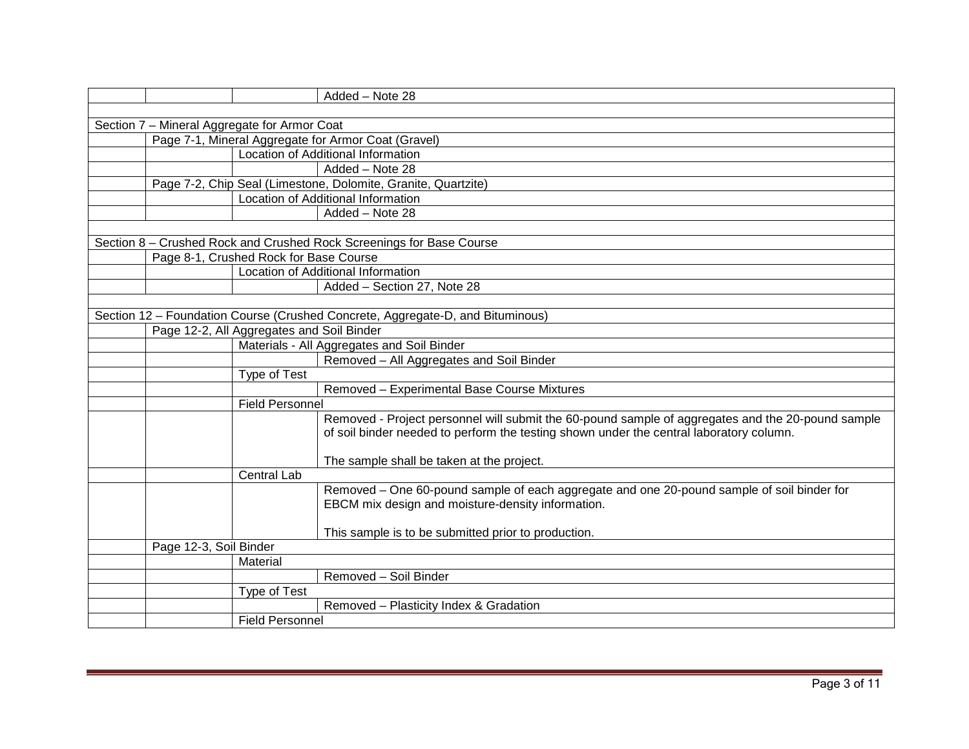|                                                                                                                             |                                        | Added - Note 28                                                                                   |  |  |
|-----------------------------------------------------------------------------------------------------------------------------|----------------------------------------|---------------------------------------------------------------------------------------------------|--|--|
|                                                                                                                             |                                        |                                                                                                   |  |  |
| Section 7 - Mineral Aggregate for Armor Coat                                                                                |                                        |                                                                                                   |  |  |
| Page 7-1, Mineral Aggregate for Armor Coat (Gravel)                                                                         |                                        |                                                                                                   |  |  |
|                                                                                                                             |                                        | Location of Additional Information                                                                |  |  |
|                                                                                                                             |                                        | Added - Note 28                                                                                   |  |  |
|                                                                                                                             |                                        | Page 7-2, Chip Seal (Limestone, Dolomite, Granite, Quartzite)                                     |  |  |
|                                                                                                                             |                                        | Location of Additional Information                                                                |  |  |
|                                                                                                                             |                                        | $Added - Note 28$                                                                                 |  |  |
|                                                                                                                             |                                        |                                                                                                   |  |  |
|                                                                                                                             |                                        | Section 8 - Crushed Rock and Crushed Rock Screenings for Base Course                              |  |  |
|                                                                                                                             | Page 8-1, Crushed Rock for Base Course |                                                                                                   |  |  |
|                                                                                                                             |                                        | <b>Location of Additional Information</b>                                                         |  |  |
|                                                                                                                             |                                        | Added - Section 27, Note 28                                                                       |  |  |
|                                                                                                                             |                                        |                                                                                                   |  |  |
| Section 12 - Foundation Course (Crushed Concrete, Aggregate-D, and Bituminous)<br>Page 12-2, All Aggregates and Soil Binder |                                        |                                                                                                   |  |  |
|                                                                                                                             |                                        |                                                                                                   |  |  |
|                                                                                                                             |                                        | Materials - All Aggregates and Soil Binder                                                        |  |  |
|                                                                                                                             |                                        | Removed - All Aggregates and Soil Binder                                                          |  |  |
|                                                                                                                             | <b>Type of Test</b>                    |                                                                                                   |  |  |
|                                                                                                                             |                                        | Removed - Experimental Base Course Mixtures                                                       |  |  |
|                                                                                                                             | <b>Field Personnel</b>                 |                                                                                                   |  |  |
|                                                                                                                             |                                        | Removed - Project personnel will submit the 60-pound sample of aggregates and the 20-pound sample |  |  |
|                                                                                                                             |                                        | of soil binder needed to perform the testing shown under the central laboratory column.           |  |  |
|                                                                                                                             |                                        |                                                                                                   |  |  |
|                                                                                                                             | <b>Central Lab</b>                     | The sample shall be taken at the project.                                                         |  |  |
|                                                                                                                             |                                        | Removed - One 60-pound sample of each aggregate and one 20-pound sample of soil binder for        |  |  |
|                                                                                                                             |                                        | EBCM mix design and moisture-density information.                                                 |  |  |
|                                                                                                                             |                                        |                                                                                                   |  |  |
|                                                                                                                             |                                        | This sample is to be submitted prior to production.                                               |  |  |
| Page 12-3, Soil Binder                                                                                                      |                                        |                                                                                                   |  |  |
|                                                                                                                             | Material                               |                                                                                                   |  |  |
|                                                                                                                             |                                        | Removed - Soil Binder                                                                             |  |  |
|                                                                                                                             | Type of Test                           |                                                                                                   |  |  |
|                                                                                                                             |                                        | Removed - Plasticity Index & Gradation                                                            |  |  |
|                                                                                                                             | <b>Field Personnel</b>                 |                                                                                                   |  |  |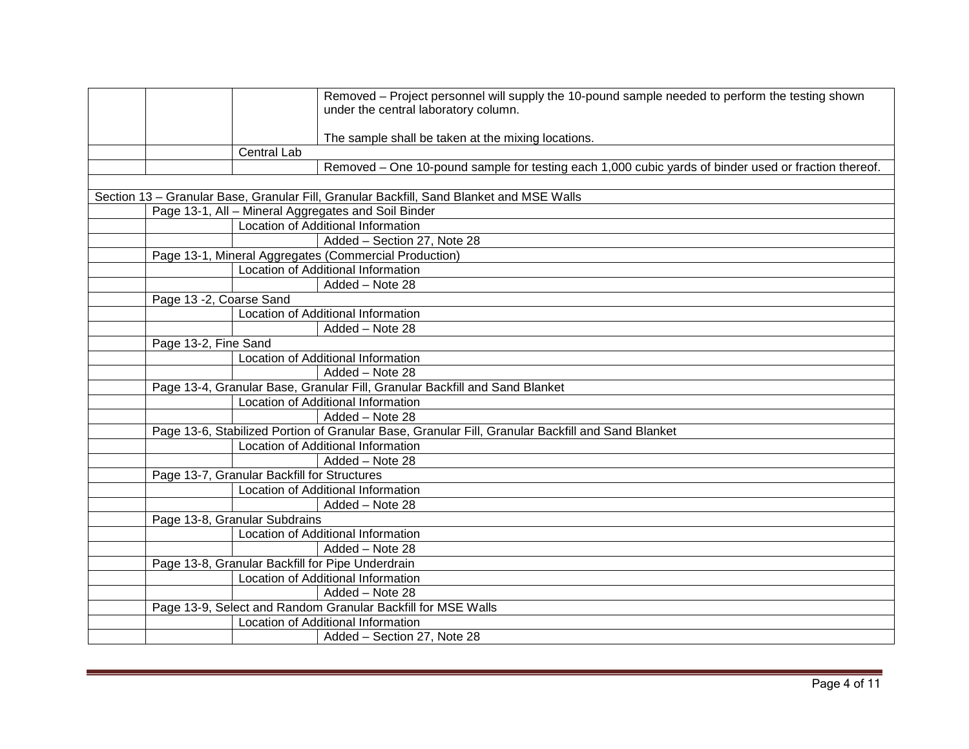|                                                  | Removed – Project personnel will supply the 10-pound sample needed to perform the testing shown<br>under the central laboratory column. |
|--------------------------------------------------|-----------------------------------------------------------------------------------------------------------------------------------------|
|                                                  | The sample shall be taken at the mixing locations.                                                                                      |
| Central Lab                                      |                                                                                                                                         |
|                                                  | Removed – One 10-pound sample for testing each 1,000 cubic yards of binder used or fraction thereof.                                    |
|                                                  |                                                                                                                                         |
|                                                  | Section 13 - Granular Base, Granular Fill, Granular Backfill, Sand Blanket and MSE Walls                                                |
|                                                  | Page 13-1, All - Mineral Aggregates and Soil Binder                                                                                     |
|                                                  | Location of Additional Information                                                                                                      |
|                                                  | Added - Section 27, Note 28                                                                                                             |
|                                                  | Page 13-1, Mineral Aggregates (Commercial Production)                                                                                   |
|                                                  | Location of Additional Information                                                                                                      |
|                                                  | Added - Note 28                                                                                                                         |
| Page 13 -2, Coarse Sand                          |                                                                                                                                         |
|                                                  | Location of Additional Information                                                                                                      |
|                                                  | Added - Note 28                                                                                                                         |
| Page 13-2, Fine Sand                             |                                                                                                                                         |
|                                                  | Location of Additional Information                                                                                                      |
|                                                  | Added - Note 28                                                                                                                         |
|                                                  | Page 13-4, Granular Base, Granular Fill, Granular Backfill and Sand Blanket                                                             |
|                                                  | Location of Additional Information                                                                                                      |
|                                                  | Added - Note 28                                                                                                                         |
|                                                  | Page 13-6, Stabilized Portion of Granular Base, Granular Fill, Granular Backfill and Sand Blanket                                       |
|                                                  | Location of Additional Information                                                                                                      |
|                                                  | Added - Note 28                                                                                                                         |
| Page 13-7, Granular Backfill for Structures      |                                                                                                                                         |
|                                                  | Location of Additional Information                                                                                                      |
|                                                  | Added - Note 28                                                                                                                         |
| Page 13-8, Granular Subdrains                    |                                                                                                                                         |
|                                                  | Location of Additional Information                                                                                                      |
|                                                  | Added - Note 28                                                                                                                         |
| Page 13-8, Granular Backfill for Pipe Underdrain |                                                                                                                                         |
|                                                  | Location of Additional Information                                                                                                      |
|                                                  | Added - Note 28                                                                                                                         |
|                                                  | Page 13-9, Select and Random Granular Backfill for MSE Walls                                                                            |
|                                                  | Location of Additional Information                                                                                                      |
|                                                  | Added - Section 27, Note 28                                                                                                             |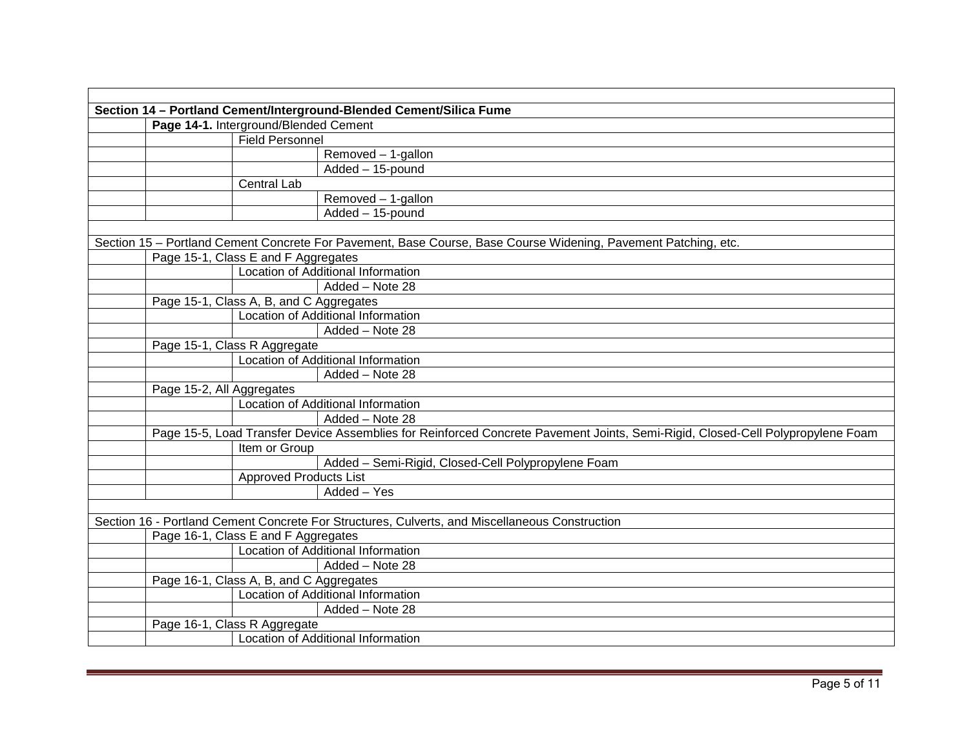| Section 14 - Portland Cement/Interground-Blended Cement/Silica Fume |                                         |                                                                                                                                |  |  |
|---------------------------------------------------------------------|-----------------------------------------|--------------------------------------------------------------------------------------------------------------------------------|--|--|
|                                                                     | Page 14-1. Interground/Blended Cement   |                                                                                                                                |  |  |
|                                                                     | <b>Field Personnel</b>                  |                                                                                                                                |  |  |
|                                                                     |                                         | Removed - 1-gallon                                                                                                             |  |  |
|                                                                     |                                         | Added - 15-pound                                                                                                               |  |  |
|                                                                     | Central Lab                             |                                                                                                                                |  |  |
|                                                                     |                                         | Removed - 1-gallon                                                                                                             |  |  |
|                                                                     |                                         | Added - 15-pound                                                                                                               |  |  |
|                                                                     |                                         |                                                                                                                                |  |  |
|                                                                     |                                         | Section 15 - Portland Cement Concrete For Pavement, Base Course, Base Course Widening, Pavement Patching, etc.                 |  |  |
|                                                                     | Page 15-1, Class E and F Aggregates     |                                                                                                                                |  |  |
|                                                                     |                                         | <b>Location of Additional Information</b>                                                                                      |  |  |
|                                                                     |                                         | Added - Note 28                                                                                                                |  |  |
|                                                                     | Page 15-1, Class A, B, and C Aggregates |                                                                                                                                |  |  |
|                                                                     |                                         | Location of Additional Information                                                                                             |  |  |
|                                                                     |                                         | Added - Note 28                                                                                                                |  |  |
|                                                                     | Page 15-1, Class R Aggregate            |                                                                                                                                |  |  |
|                                                                     |                                         | Location of Additional Information                                                                                             |  |  |
|                                                                     |                                         | Added - Note 28                                                                                                                |  |  |
|                                                                     | Page 15-2, All Aggregates               |                                                                                                                                |  |  |
|                                                                     |                                         | <b>Location of Additional Information</b>                                                                                      |  |  |
|                                                                     |                                         | Added - Note 28                                                                                                                |  |  |
|                                                                     |                                         | Page 15-5, Load Transfer Device Assemblies for Reinforced Concrete Pavement Joints, Semi-Rigid, Closed-Cell Polypropylene Foam |  |  |
|                                                                     | Item or Group                           |                                                                                                                                |  |  |
|                                                                     |                                         | Added - Semi-Rigid, Closed-Cell Polypropylene Foam                                                                             |  |  |
|                                                                     | <b>Approved Products List</b>           |                                                                                                                                |  |  |
|                                                                     |                                         | Added - Yes                                                                                                                    |  |  |
|                                                                     |                                         |                                                                                                                                |  |  |
|                                                                     |                                         | Section 16 - Portland Cement Concrete For Structures, Culverts, and Miscellaneous Construction                                 |  |  |
|                                                                     | Page 16-1, Class E and F Aggregates     |                                                                                                                                |  |  |
|                                                                     |                                         | Location of Additional Information                                                                                             |  |  |
|                                                                     |                                         | Added - Note 28                                                                                                                |  |  |
|                                                                     | Page 16-1, Class A, B, and C Aggregates |                                                                                                                                |  |  |
|                                                                     |                                         | <b>Location of Additional Information</b>                                                                                      |  |  |
|                                                                     |                                         | Added - Note 28                                                                                                                |  |  |
|                                                                     | Page 16-1, Class R Aggregate            |                                                                                                                                |  |  |
|                                                                     |                                         | <b>Location of Additional Information</b>                                                                                      |  |  |
|                                                                     |                                         |                                                                                                                                |  |  |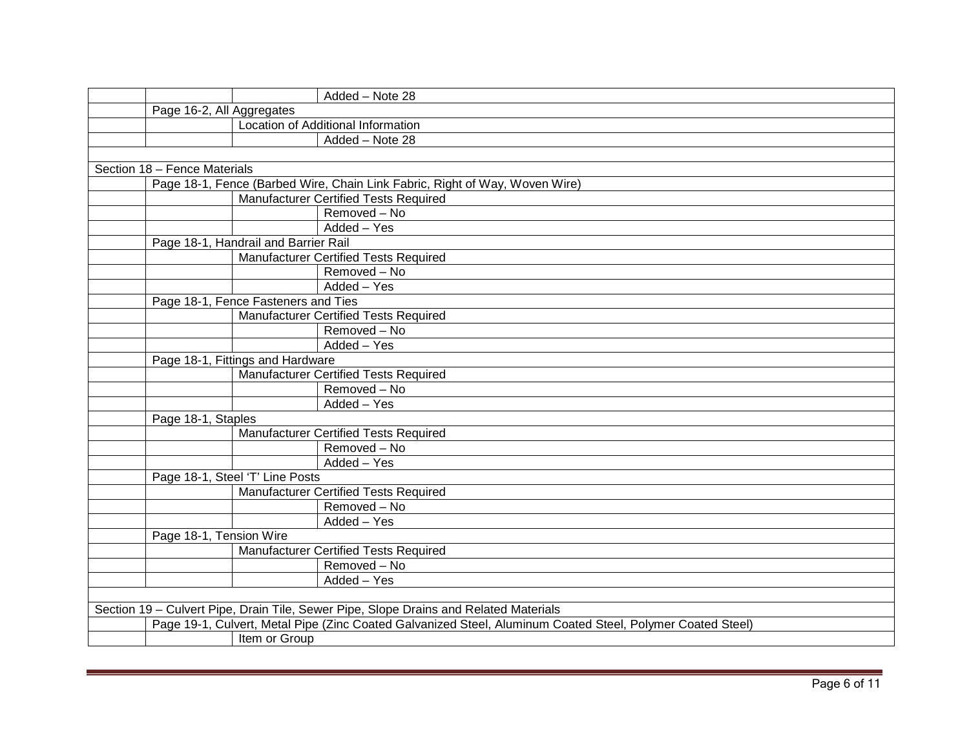|                                     |                                      | Added - Note 28                                                                                            |
|-------------------------------------|--------------------------------------|------------------------------------------------------------------------------------------------------------|
| Page 16-2, All Aggregates           |                                      |                                                                                                            |
|                                     |                                      | Location of Additional Information                                                                         |
|                                     |                                      | Added - Note 28                                                                                            |
|                                     |                                      |                                                                                                            |
| Section 18 - Fence Materials        |                                      |                                                                                                            |
|                                     |                                      | Page 18-1, Fence (Barbed Wire, Chain Link Fabric, Right of Way, Woven Wire)                                |
|                                     |                                      | <b>Manufacturer Certified Tests Required</b>                                                               |
|                                     |                                      | Removed - No                                                                                               |
|                                     |                                      | Added - Yes                                                                                                |
|                                     | Page 18-1, Handrail and Barrier Rail |                                                                                                            |
|                                     |                                      | Manufacturer Certified Tests Required                                                                      |
|                                     |                                      | Removed - No                                                                                               |
|                                     |                                      | Added - Yes                                                                                                |
| Page 18-1, Fence Fasteners and Ties |                                      |                                                                                                            |
|                                     |                                      | <b>Manufacturer Certified Tests Required</b>                                                               |
|                                     |                                      | Removed - No                                                                                               |
|                                     |                                      | Added - Yes                                                                                                |
|                                     | Page 18-1, Fittings and Hardware     |                                                                                                            |
|                                     |                                      | Manufacturer Certified Tests Required                                                                      |
|                                     |                                      | Removed - No                                                                                               |
|                                     |                                      | Added - Yes                                                                                                |
| Page 18-1, Staples                  |                                      |                                                                                                            |
|                                     |                                      | Manufacturer Certified Tests Required                                                                      |
|                                     |                                      | $R$ emoved – No                                                                                            |
|                                     |                                      | Added - Yes                                                                                                |
|                                     | Page 18-1, Steel 'T' Line Posts      |                                                                                                            |
|                                     |                                      | <b>Manufacturer Certified Tests Required</b>                                                               |
|                                     |                                      | Removed - No                                                                                               |
|                                     |                                      | Added - Yes                                                                                                |
| Page 18-1, Tension Wire             |                                      |                                                                                                            |
|                                     |                                      | <b>Manufacturer Certified Tests Required</b>                                                               |
|                                     |                                      | Removed - No                                                                                               |
|                                     |                                      | Added - Yes                                                                                                |
|                                     |                                      |                                                                                                            |
|                                     |                                      | Section 19 - Culvert Pipe, Drain Tile, Sewer Pipe, Slope Drains and Related Materials                      |
|                                     |                                      | Page 19-1, Culvert, Metal Pipe (Zinc Coated Galvanized Steel, Aluminum Coated Steel, Polymer Coated Steel) |
|                                     | Item or Group                        |                                                                                                            |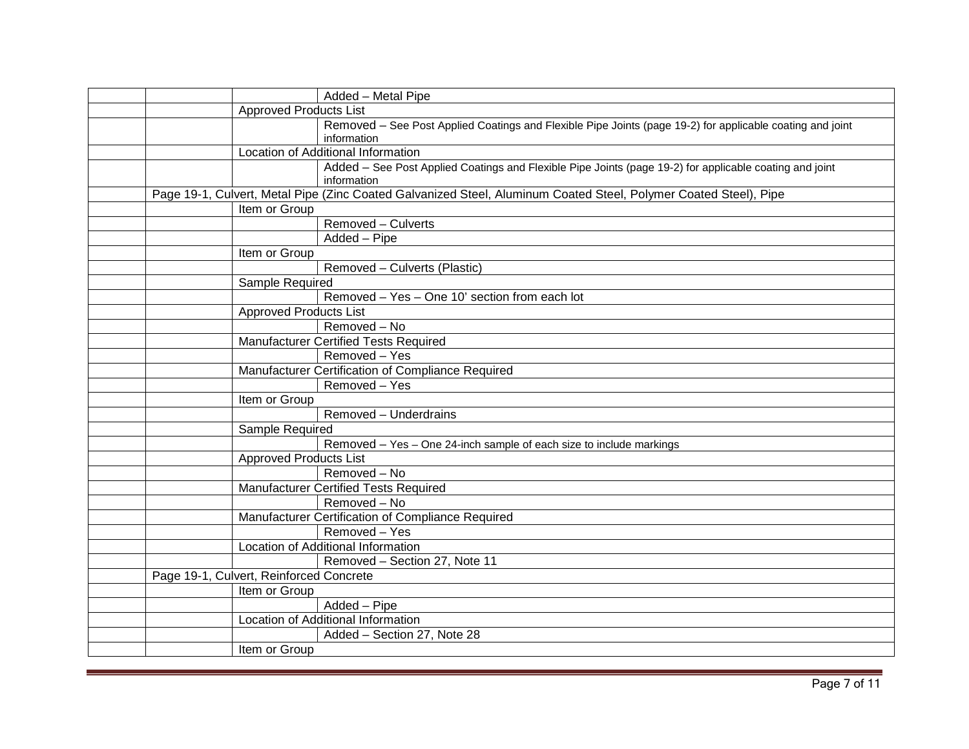|  |                                         | Added - Metal Pipe                                                                                                       |
|--|-----------------------------------------|--------------------------------------------------------------------------------------------------------------------------|
|  | <b>Approved Products List</b>           |                                                                                                                          |
|  |                                         | Removed - See Post Applied Coatings and Flexible Pipe Joints (page 19-2) for applicable coating and joint<br>information |
|  |                                         | Location of Additional Information                                                                                       |
|  |                                         | Added - See Post Applied Coatings and Flexible Pipe Joints (page 19-2) for applicable coating and joint<br>information   |
|  |                                         | Page 19-1, Culvert, Metal Pipe (Zinc Coated Galvanized Steel, Aluminum Coated Steel, Polymer Coated Steel), Pipe         |
|  | Item or Group                           |                                                                                                                          |
|  |                                         | Removed - Culverts                                                                                                       |
|  |                                         | Added - Pipe                                                                                                             |
|  | Item or Group                           |                                                                                                                          |
|  |                                         | Removed - Culverts (Plastic)                                                                                             |
|  | Sample Required                         |                                                                                                                          |
|  |                                         | Removed - Yes - One 10' section from each lot                                                                            |
|  | <b>Approved Products List</b>           |                                                                                                                          |
|  |                                         | Removed - No                                                                                                             |
|  |                                         | Manufacturer Certified Tests Required                                                                                    |
|  |                                         | Removed - Yes                                                                                                            |
|  |                                         | Manufacturer Certification of Compliance Required                                                                        |
|  |                                         | Removed - Yes                                                                                                            |
|  | Item or Group                           |                                                                                                                          |
|  |                                         | Removed - Underdrains                                                                                                    |
|  | Sample Required                         |                                                                                                                          |
|  |                                         | Removed - Yes - One 24-inch sample of each size to include markings                                                      |
|  | <b>Approved Products List</b>           |                                                                                                                          |
|  |                                         | Removed - No                                                                                                             |
|  |                                         | <b>Manufacturer Certified Tests Required</b>                                                                             |
|  |                                         | Removed - No                                                                                                             |
|  |                                         | Manufacturer Certification of Compliance Required                                                                        |
|  |                                         | Removed - Yes                                                                                                            |
|  |                                         | Location of Additional Information                                                                                       |
|  |                                         | Removed - Section 27, Note 11                                                                                            |
|  | Page 19-1, Culvert, Reinforced Concrete |                                                                                                                          |
|  | Item or Group                           |                                                                                                                          |
|  |                                         | Added - Pipe                                                                                                             |
|  |                                         | Location of Additional Information                                                                                       |
|  |                                         | Added - Section 27, Note 28                                                                                              |
|  | Item or Group                           |                                                                                                                          |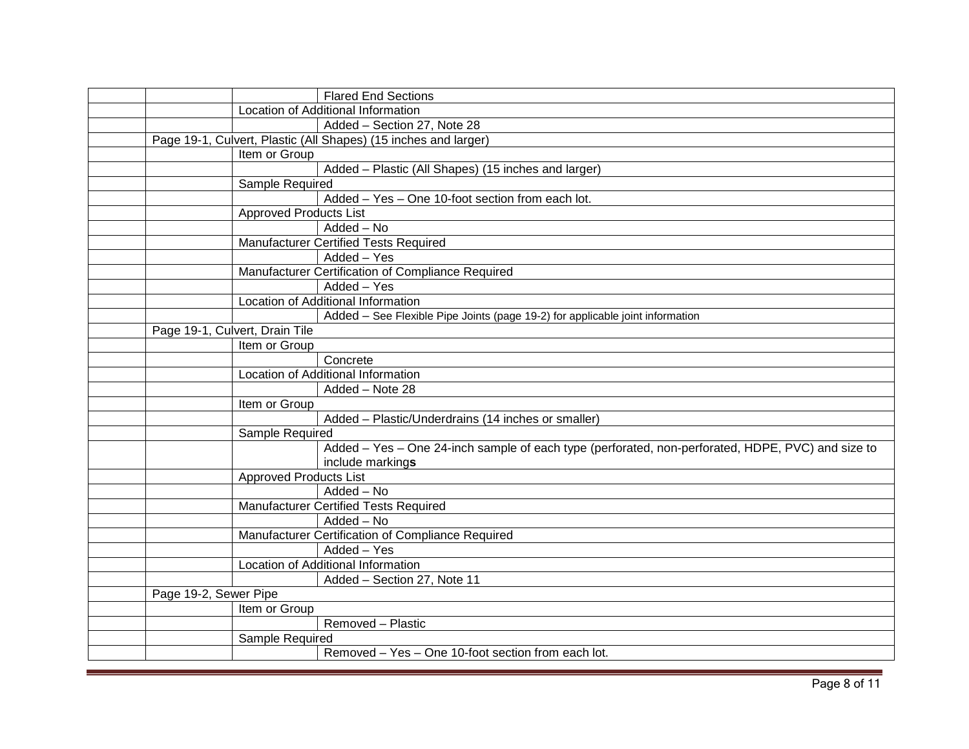|                                | <b>Flared End Sections</b>                                                                        |
|--------------------------------|---------------------------------------------------------------------------------------------------|
|                                | Location of Additional Information                                                                |
|                                | Added - Section 27, Note 28                                                                       |
|                                | Page 19-1, Culvert, Plastic (All Shapes) (15 inches and larger)                                   |
| Item or Group                  |                                                                                                   |
|                                | Added - Plastic (All Shapes) (15 inches and larger)                                               |
| Sample Required                |                                                                                                   |
|                                | Added - Yes - One 10-foot section from each lot.                                                  |
|                                | <b>Approved Products List</b>                                                                     |
|                                | Added - No                                                                                        |
|                                | Manufacturer Certified Tests Required                                                             |
|                                | Added - Yes                                                                                       |
|                                | Manufacturer Certification of Compliance Required                                                 |
|                                | Added - Yes                                                                                       |
|                                | Location of Additional Information                                                                |
|                                | Added - See Flexible Pipe Joints (page 19-2) for applicable joint information                     |
| Page 19-1, Culvert, Drain Tile |                                                                                                   |
| Item or Group                  |                                                                                                   |
|                                | Concrete                                                                                          |
|                                | Location of Additional Information                                                                |
|                                | Added - Note 28                                                                                   |
| Item or Group                  |                                                                                                   |
|                                | Added - Plastic/Underdrains (14 inches or smaller)                                                |
| Sample Required                |                                                                                                   |
|                                | Added - Yes - One 24-inch sample of each type (perforated, non-perforated, HDPE, PVC) and size to |
|                                | include markings                                                                                  |
|                                | <b>Approved Products List</b>                                                                     |
|                                | Added - No                                                                                        |
|                                | Manufacturer Certified Tests Required                                                             |
|                                | Added - No                                                                                        |
|                                | Manufacturer Certification of Compliance Required                                                 |
|                                | Added - Yes                                                                                       |
|                                | Location of Additional Information                                                                |
|                                | Added - Section 27, Note 11                                                                       |
| Page 19-2, Sewer Pipe          |                                                                                                   |
| Item or Group                  |                                                                                                   |
|                                | Removed - Plastic                                                                                 |
| Sample Required                |                                                                                                   |
|                                | Removed - Yes - One 10-foot section from each lot.                                                |
|                                |                                                                                                   |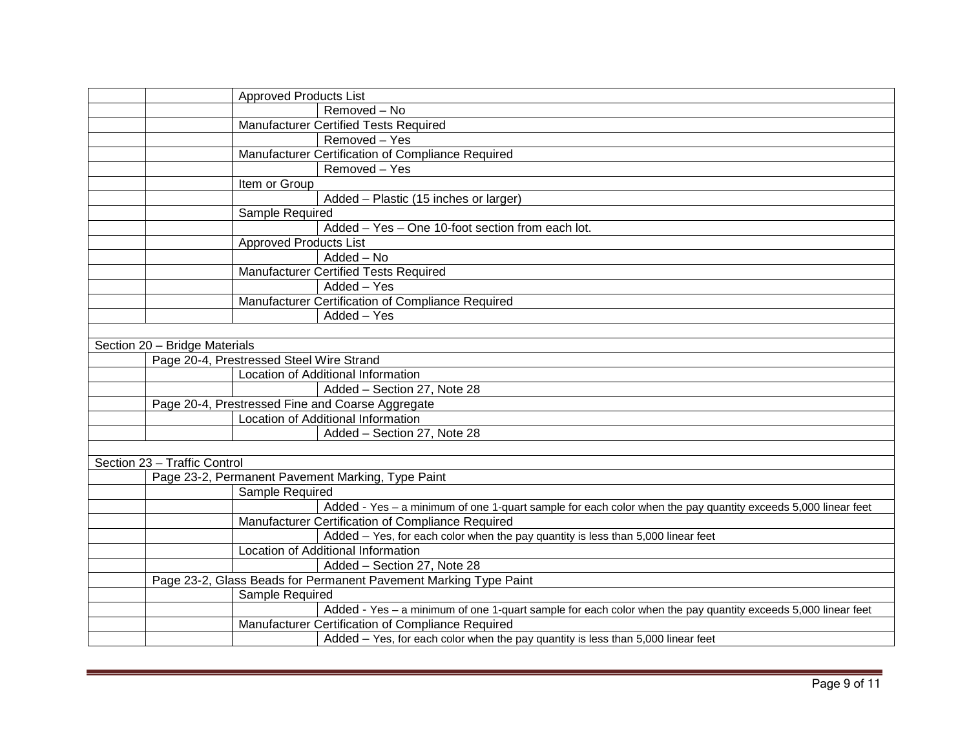|                               | Approved Products List                                                                                       |  |  |
|-------------------------------|--------------------------------------------------------------------------------------------------------------|--|--|
|                               | Removed - No                                                                                                 |  |  |
|                               | Manufacturer Certified Tests Required                                                                        |  |  |
|                               | Removed - Yes                                                                                                |  |  |
|                               | Manufacturer Certification of Compliance Required                                                            |  |  |
|                               | Removed - Yes                                                                                                |  |  |
|                               | Item or Group                                                                                                |  |  |
|                               | Added - Plastic (15 inches or larger)                                                                        |  |  |
|                               | Sample Required                                                                                              |  |  |
|                               | Added - Yes - One 10-foot section from each lot.                                                             |  |  |
|                               | <b>Approved Products List</b>                                                                                |  |  |
|                               | Added - No                                                                                                   |  |  |
|                               | <b>Manufacturer Certified Tests Required</b>                                                                 |  |  |
|                               | Added - Yes                                                                                                  |  |  |
|                               | Manufacturer Certification of Compliance Required                                                            |  |  |
|                               | Added - Yes                                                                                                  |  |  |
|                               |                                                                                                              |  |  |
| Section 20 - Bridge Materials |                                                                                                              |  |  |
|                               | Page 20-4, Prestressed Steel Wire Strand                                                                     |  |  |
|                               | Location of Additional Information                                                                           |  |  |
|                               | Added - Section 27, Note 28                                                                                  |  |  |
|                               | Page 20-4, Prestressed Fine and Coarse Aggregate                                                             |  |  |
|                               | Location of Additional Information                                                                           |  |  |
|                               | Added - Section 27, Note 28                                                                                  |  |  |
|                               |                                                                                                              |  |  |
| Section 23 - Traffic Control  |                                                                                                              |  |  |
|                               | Page 23-2, Permanent Pavement Marking, Type Paint                                                            |  |  |
|                               | Sample Required                                                                                              |  |  |
|                               | Added - Yes - a minimum of one 1-quart sample for each color when the pay quantity exceeds 5,000 linear feet |  |  |
|                               | Manufacturer Certification of Compliance Required                                                            |  |  |
|                               | Added - Yes, for each color when the pay quantity is less than 5,000 linear feet                             |  |  |
|                               | Location of Additional Information                                                                           |  |  |
|                               | Added - Section 27, Note 28                                                                                  |  |  |
|                               | Page 23-2, Glass Beads for Permanent Pavement Marking Type Paint                                             |  |  |
|                               | Sample Required                                                                                              |  |  |
|                               | Added - Yes - a minimum of one 1-quart sample for each color when the pay quantity exceeds 5,000 linear feet |  |  |
|                               | Manufacturer Certification of Compliance Required                                                            |  |  |
|                               | Added - Yes, for each color when the pay quantity is less than 5,000 linear feet                             |  |  |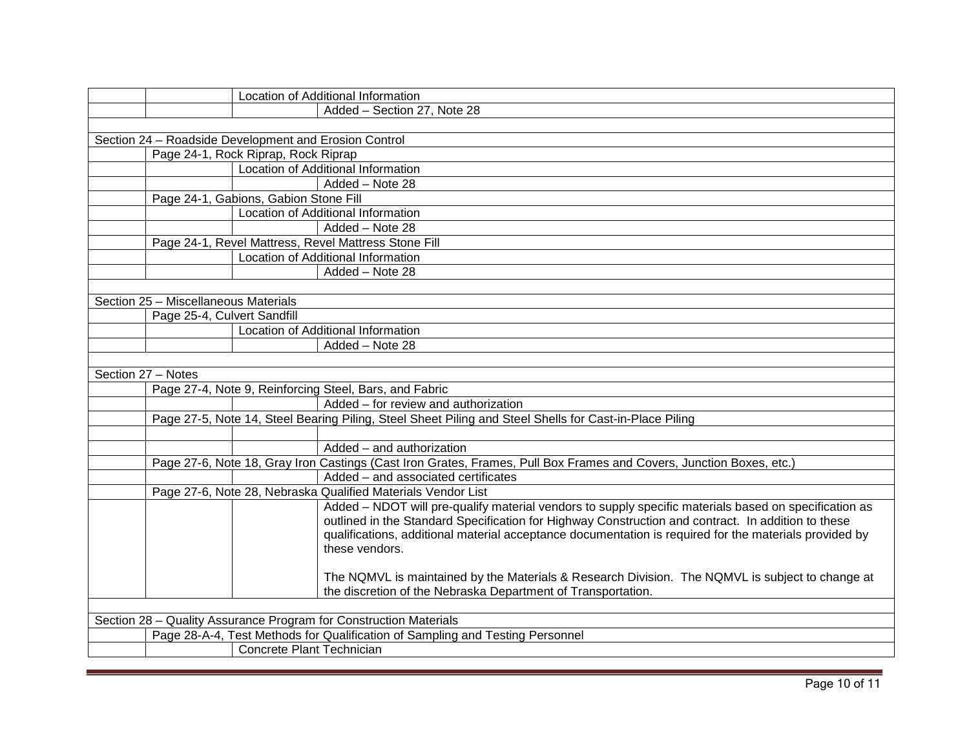|                    |                                      | Location of Additional Information                                                                                                                                                                                                                                                                                                      |
|--------------------|--------------------------------------|-----------------------------------------------------------------------------------------------------------------------------------------------------------------------------------------------------------------------------------------------------------------------------------------------------------------------------------------|
|                    |                                      | Added - Section 27, Note 28                                                                                                                                                                                                                                                                                                             |
|                    |                                      |                                                                                                                                                                                                                                                                                                                                         |
|                    |                                      | Section 24 - Roadside Development and Erosion Control                                                                                                                                                                                                                                                                                   |
|                    |                                      | Page 24-1, Rock Riprap, Rock Riprap                                                                                                                                                                                                                                                                                                     |
|                    |                                      | <b>Location of Additional Information</b>                                                                                                                                                                                                                                                                                               |
|                    |                                      | Added - Note 28                                                                                                                                                                                                                                                                                                                         |
|                    |                                      | Page 24-1, Gabions, Gabion Stone Fill                                                                                                                                                                                                                                                                                                   |
|                    |                                      | Location of Additional Information                                                                                                                                                                                                                                                                                                      |
|                    |                                      | Added - Note 28                                                                                                                                                                                                                                                                                                                         |
|                    |                                      | Page 24-1, Revel Mattress, Revel Mattress Stone Fill                                                                                                                                                                                                                                                                                    |
|                    |                                      | Location of Additional Information                                                                                                                                                                                                                                                                                                      |
|                    |                                      | Added - Note 28                                                                                                                                                                                                                                                                                                                         |
|                    |                                      |                                                                                                                                                                                                                                                                                                                                         |
|                    | Section 25 - Miscellaneous Materials |                                                                                                                                                                                                                                                                                                                                         |
|                    | Page 25-4, Culvert Sandfill          |                                                                                                                                                                                                                                                                                                                                         |
|                    |                                      | Location of Additional Information                                                                                                                                                                                                                                                                                                      |
|                    |                                      | Added - Note 28                                                                                                                                                                                                                                                                                                                         |
|                    |                                      |                                                                                                                                                                                                                                                                                                                                         |
| Section 27 - Notes |                                      |                                                                                                                                                                                                                                                                                                                                         |
|                    |                                      | Page 27-4, Note 9, Reinforcing Steel, Bars, and Fabric                                                                                                                                                                                                                                                                                  |
|                    |                                      | Added - for review and authorization                                                                                                                                                                                                                                                                                                    |
|                    |                                      | Page 27-5, Note 14, Steel Bearing Piling, Steel Sheet Piling and Steel Shells for Cast-in-Place Piling                                                                                                                                                                                                                                  |
|                    |                                      |                                                                                                                                                                                                                                                                                                                                         |
|                    |                                      | Added - and authorization                                                                                                                                                                                                                                                                                                               |
|                    |                                      | Page 27-6, Note 18, Gray Iron Castings (Cast Iron Grates, Frames, Pull Box Frames and Covers, Junction Boxes, etc.)                                                                                                                                                                                                                     |
|                    |                                      | Added - and associated certificates                                                                                                                                                                                                                                                                                                     |
|                    |                                      | Page 27-6, Note 28, Nebraska Qualified Materials Vendor List                                                                                                                                                                                                                                                                            |
|                    |                                      | Added - NDOT will pre-qualify material vendors to supply specific materials based on specification as<br>outlined in the Standard Specification for Highway Construction and contract. In addition to these<br>qualifications, additional material acceptance documentation is required for the materials provided by<br>these vendors. |
|                    |                                      | The NQMVL is maintained by the Materials & Research Division. The NQMVL is subject to change at<br>the discretion of the Nebraska Department of Transportation.                                                                                                                                                                         |
|                    |                                      |                                                                                                                                                                                                                                                                                                                                         |
|                    |                                      | Section 28 - Quality Assurance Program for Construction Materials                                                                                                                                                                                                                                                                       |
|                    |                                      | Page 28-A-4, Test Methods for Qualification of Sampling and Testing Personnel                                                                                                                                                                                                                                                           |
|                    |                                      | Concrete Plant Technician                                                                                                                                                                                                                                                                                                               |